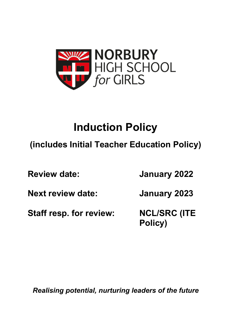

# **Induction Policy**

## **(includes Initial Teacher Education Policy)**

**Review date: January 2022 Next review date: January 2023 Staff resp. for review: NCL/SRC (ITE Policy)**

*Realising potential, nurturing leaders of the future*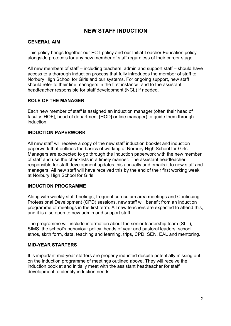## **NEW STAFF INDUCTION**

## **GENERAL AIM**

This policy brings together our ECT policy and our Initial Teacher Education policy alongside protocols for any new member of staff regardless of their career stage.

All new members of staff – including teachers, admin and support staff – should have access to a thorough induction process that fully introduces the member of staff to Norbury High School for Girls and our systems. For ongoing support, new staff should refer to their line managers in the first instance, and to the assistant headteacher responsible for staff development (NCL) if needed.

## **ROLE OF THE MANAGER**

Each new member of staff is assigned an induction manager (often their head of faculty [HOF], head of department [HOD] or line manager) to guide them through induction.

## **INDUCTION PAPERWORK**

All new staff will receive a copy of the new staff induction booklet and induction paperwork that outlines the basics of working at Norbury High School for Girls. Managers are expected to go through the induction paperwork with the new member of staff and use the checklists in a timely manner. The assistant headteacher responsible for staff development updates this annually and emails it to new staff and managers. All new staff will have received this by the end of their first working week at Norbury High School for Girls.

### **INDUCTION PROGRAMME**

Along with weekly staff briefings, frequent curriculum area meetings and Continuing Professional Development (CPD) sessions, new staff will benefit from an induction programme of meetings in the first term. All new teachers are expected to attend this, and it is also open to new admin and support staff.

The programme will include information about the senior leadership team (SLT), SIMS, the school's behaviour policy, heads of year and pastoral leaders, school ethos, sixth form, data, teaching and learning, trips, CPD, SEN, EAL and mentoring.

### **MID-YEAR STARTERS**

It is important mid-year starters are properly inducted despite potentially missing out on the induction programme of meetings outlined above. They will receive the induction booklet and initially meet with the assistant headteacher for staff development to identify induction needs.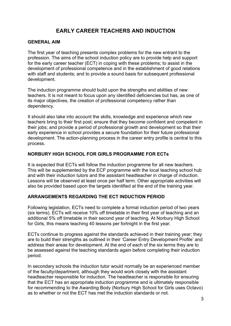## **EARLY CAREER TEACHERS AND INDUCTION**

## **GENERAL AIM**

The first year of teaching presents complex problems for the new entrant to the profession. The aims of the school induction policy are to provide help and support for the early career teacher (ECT) in coping with these problems; to assist in the development of professional competence and in the establishment of good relations with staff and students; and to provide a sound basis for subsequent professional development.

The induction programme should build upon the strengths and abilities of new teachers. It is not meant to focus upon any identified deficiencies but has, as one of its major objectives, the creation of professional competency rather than dependency.

It should also take into account the skills, knowledge and experience which new teachers bring to their first post; ensure that they become confident and competent in their jobs; and provide a period of professional growth and development so that their early experience in school provides a secure foundation for their future professional development. The action-planning process in the career entry profile is central to this process.

## **NORBURY HIGH SCHOOL FOR GIRLS PROGRAMME FOR ECTs**

It is expected that ECTs will follow the induction programme for all new teachers. This will be supplemented by the ECF programme with the local teaching school hub and with their induction tutors and the assistant headteacher in charge of induction. Lessons will be observed at least once per half term. Other appropriate activities will also be provided based upon the targets identified at the end of the training year.

## **ARRANGEMENTS REGARDING THE ECT INDUCTION PERIOD**

Following legislation, ECTs need to complete a formal induction period of two years (six terms). ECTs will receive 10% off timetable in their first year of teaching and an additional 5% off timetable in their second year of teaching. At Norbury High School for Girls, this means teaching 40 lessons per fortnight in the first year.

ECTs continue to progress against the standards achieved in their training year; they are to build their strengths as outlined in their 'Career Entry Development Profile' and address their areas for development. At the end of each of the six terms they are to be assessed against the teaching standards again before completing their induction period.

In secondary schools the induction tutor would normally be an experienced member of the faculty/department, although they would work closely with the assistant headteacher responsible for induction. The headteacher is responsible for ensuring that the ECT has an appropriate induction programme and is ultimately responsible for recommending to the Awarding Body (Norbury High School for Girls uses Octavo) as to whether or not the ECT has met the induction standards or not.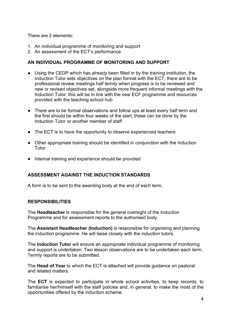There are 2 elements:

- 1. An individual programme of monitoring and support
- 2. An assessment of the ECT's performance

## **AN INDIVIDUAL PROGRAMME OF MONITORING AND SUPPORT**

- Using the CEDP which has already been filled in by the training institution, the Induction Tutor sets objectives on the plan format with the ECT; there are to be professional review meetings half termly when progress is to be reviewed and new or revised objectives set, alongside more frequent informal meetings with the Induction Tutor; this will be in line with the new ECF programme and resources provided with the teaching school hub
- There are to be formal observations and follow ups at least every half term and the first should be within four weeks of the start; these can be done by the Induction Tutor or another member of staff
- The ECT is to have the opportunity to observe experienced teachers
- Other appropriate training should be identified in conjunction with the Induction Tutor
- Internal training and experience should be provided

## **ASSESSMENT AGAINST THE INDUCTION STANDARDS**

A form is to be sent to the awarding body at the end of each term.

## **RESPONSIBILITIES**

The **Headteacher** is responsible for the general oversight of the Induction Programme and for assessment reports to the authorised body.

The **Assistant Headteacher (Induction)** is responsible for organising and planning the induction programme. He will liaise closely with the induction tutors.

The **Induction Tutor** will ensure an appropriate individual programme of monitoring and support is undertaken. Two lesson observations are to be undertaken each term. Termly reports are to be submitted.

The **Head of Year** to which the ECT is attached will provide guidance on pastoral and related matters.

The **ECT** is expected to participate in whole school activities, to keep records, to familiarise her/himself with the staff policies and, in general, to make the most of the opportunities offered by the induction scheme.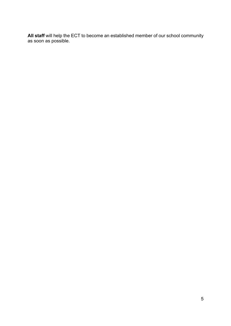**All staff** will help the ECT to become an established member of our school community as soon as possible.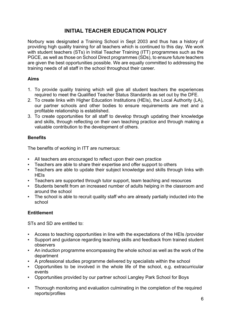## **INITIAL TEACHER EDUCATION POLICY**

Norbury was designated a Training School in Sept 2003 and thus has a history of providing high quality training for all teachers which is continued to this day. We work with student teachers (STs) in Initial Teacher Training (ITT) programmes such as the PGCE, as well as those on School Direct programmes (SDs), to ensure future teachers are given the best opportunities possible. We are equally committed to addressing the training needs of all staff in the school throughout their career.

## **Aims**

- 1. To provide quality training which will give all student teachers the experiences required to meet the Qualified Teacher Status Standards as set out by the DFE.
- 2. To create links with Higher Education Institutions (HEIs), the Local Authority (LA), our partner schools and other bodies to ensure requirements are met and a profitable relationship is established.
- 3. To create opportunities for all staff to develop through updating their knowledge and skills, through reflecting on their own teaching practice and through making a valuable contribution to the development of others.

## **Benefits**

The benefits of working in ITT are numerous:

- All teachers are encouraged to reflect upon their own practice
- Teachers are able to share their expertise and offer support to others
- Teachers are able to update their subject knowledge and skills through links with HEIs
- Teachers are supported through tutor support, team teaching and resources
- Students benefit from an increased number of adults helping in the classroom and around the school
- The school is able to recruit quality staff who are already partially inducted into the school

## **Entitlement**

STs and SD are entitled to:

- Access to teaching opportunities in line with the expectations of the HEIs /provider
- Support and guidance regarding teaching skills and feedback from trained student observers
- An induction programme encompassing the whole school as well as the work of the department
- A professional studies programme delivered by specialists within the school
- Opportunities to be involved in the whole life of the school, e.g. extracurricular events
- Opportunities provided by our partner school Langley Park School for Boys
- Thorough monitoring and evaluation culminating in the completion of the required reports/profiles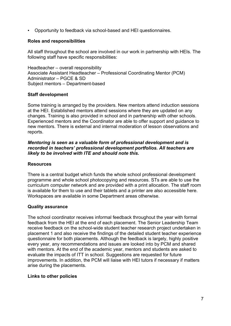▪ Opportunity to feedback via school-based and HEI questionnaires.

## **Roles and responsibilities**

All staff throughout the school are involved in our work in partnership with HEIs. The following staff have specific responsibilities:

Headteacher – overall responsibility Associate Assistant Headteacher – Professional Coordinating Mentor (PCM) Administrator – PGCE & SD Subject mentors – Department-based

## **Staff development**

Some training is arranged by the providers. New mentors attend induction sessions at the HEI. Established mentors attend sessions where they are updated on any changes. Training is also provided in school and in partnership with other schools. Experienced mentors and the Coordinator are able to offer support and guidance to new mentors. There is external and internal moderation of lesson observations and reports.

### *Mentoring is seen as a valuable form of professional development and is recorded in teachers' professional development portfolios. All teachers are likely to be involved with ITE and should note this.*

## **Resources**

There is a central budget which funds the whole school professional development programme and whole school photocopying and resources. STs are able to use the curriculum computer network and are provided with a print allocation. The staff room is available for them to use and their tablets and a printer are also accessible here. Workspaces are available in some Department areas otherwise.

### **Quality assurance**

The school coordinator receives informal feedback throughout the year with formal feedback from the HEI at the end of each placement. The Senior Leadership Team receive feedback on the school-wide student teacher research project undertaken in placement 1 and also receive the findings of the detailed student teacher experience questionnaire for both placements. Although the feedback is largely, highly positive every year, any recommendations and issues are looked into by PCM and shared with mentors. At the end of the academic year, mentors and students are asked to evaluate the impacts of ITT in school. Suggestions are requested for future improvements. In addition, the PCM will liaise with HEI tutors if necessary if matters arise during the placements.

## **Links to other policies**